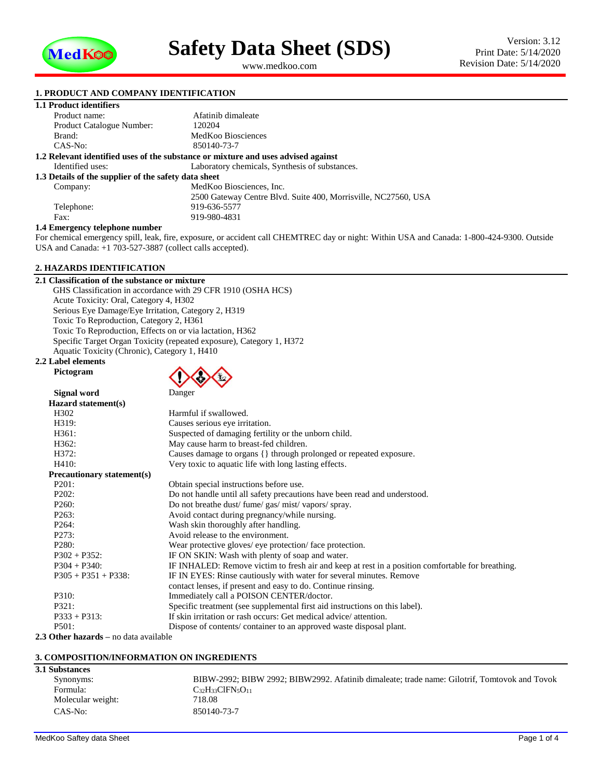

<span id="page-0-1"></span><span id="page-0-0"></span>www.medkoo.com

# **1. PRODUCT AND COMPANY IDENTIFICATION**

| <b>1. PRODUCT AND COMPANY IDENTIFICATION</b>                                      |                                                                |  |
|-----------------------------------------------------------------------------------|----------------------------------------------------------------|--|
| 1.1 Product identifiers                                                           |                                                                |  |
| Product name:                                                                     | Afatinib dimaleate                                             |  |
| Product Catalogue Number:                                                         | 120204                                                         |  |
| Brand:                                                                            | MedKoo Biosciences                                             |  |
| $CAS-No:$                                                                         | 850140-73-7                                                    |  |
| 1.2 Relevant identified uses of the substance or mixture and uses advised against |                                                                |  |
| Identified uses:                                                                  | Laboratory chemicals, Synthesis of substances.                 |  |
| 1.3 Details of the supplier of the safety data sheet                              |                                                                |  |
| Company:                                                                          | MedKoo Biosciences, Inc.                                       |  |
|                                                                                   | 2500 Gateway Centre Blvd. Suite 400, Morrisville, NC27560, USA |  |
| Telephone:                                                                        | 919-636-5577                                                   |  |
| Fax:                                                                              | 919-980-4831                                                   |  |

## **1.4 Emergency telephone number**

For chemical emergency spill, leak, fire, exposure, or accident call CHEMTREC day or night: Within USA and Canada: 1-800-424-9300. Outside USA and Canada: +1 703-527-3887 (collect calls accepted).

# **2. HAZARDS IDENTIFICATION**

# **2.1 Classification of the substance or mixture** GHS Classification in accordance with 29 CFR 1910 (OSHA HCS) Acute Toxicity: Oral, Category 4, H302 Serious Eye Damage/Eye Irritation, Category 2, H319 Toxic To Reproduction, Category 2, H361 Toxic To Reproduction, Effects on or via lactation, H362 Specific Target Organ Toxicity (repeated exposure), Category 1, H372 Aquatic Toxicity (Chronic), Category 1, H410

# **2.2 Label elements Pictogram**

| Danger |  |
|--------|--|

| Signal word                       | Danger                                                                                           |
|-----------------------------------|--------------------------------------------------------------------------------------------------|
| Hazard statement(s)               |                                                                                                  |
| H <sub>3</sub> 02                 | Harmful if swallowed.                                                                            |
| H319:                             | Causes serious eye irritation.                                                                   |
| H361:                             | Suspected of damaging fertility or the unborn child.                                             |
| H362:                             | May cause harm to breast-fed children.                                                           |
| H372:                             | Causes damage to organs {} through prolonged or repeated exposure.                               |
| H410:                             | Very toxic to aquatic life with long lasting effects.                                            |
| <b>Precautionary statement(s)</b> |                                                                                                  |
| P201:                             | Obtain special instructions before use.                                                          |
| P202:                             | Do not handle until all safety precautions have been read and understood.                        |
| P <sub>260</sub> :                | Do not breathe dust/ fume/ gas/ mist/ vapors/ spray.                                             |
| P <sub>263</sub> :                | Avoid contact during pregnancy/while nursing.                                                    |
| P <sub>264</sub> :                | Wash skin thoroughly after handling.                                                             |
| P <sub>273</sub> :                | Avoid release to the environment.                                                                |
| P <sub>280</sub> :                | Wear protective gloves/ eye protection/face protection.                                          |
| $P302 + P352$ :                   | IF ON SKIN: Wash with plenty of soap and water.                                                  |
| $P304 + P340$ :                   | IF INHALED: Remove victim to fresh air and keep at rest in a position comfortable for breathing. |
| $P305 + P351 + P338$ :            | IF IN EYES: Rinse cautiously with water for several minutes. Remove                              |
|                                   | contact lenses, if present and easy to do. Continue rinsing.                                     |
| P310:                             | Immediately call a POISON CENTER/doctor.                                                         |
| P321:                             | Specific treatment (see supplemental first aid instructions on this label).                      |
| $P333 + P313$ :                   | If skin irritation or rash occurs: Get medical advice/attention.                                 |
| P501:                             | Dispose of contents/container to an approved waste disposal plant.                               |

**2.3 Other hazards –** no data available

## **3. COMPOSITION/INFORMATION ON INGREDIENTS**

| BIBW-2992; BIBW 2992; BIBW2992. Afatinib dimaleate; trade name: Gilotrif, Tomtovok and Tovok |
|----------------------------------------------------------------------------------------------|
| $C_{32}H_{33}CIFN_{5}O_{11}$                                                                 |
| 718.08                                                                                       |
| 850140-73-7                                                                                  |
|                                                                                              |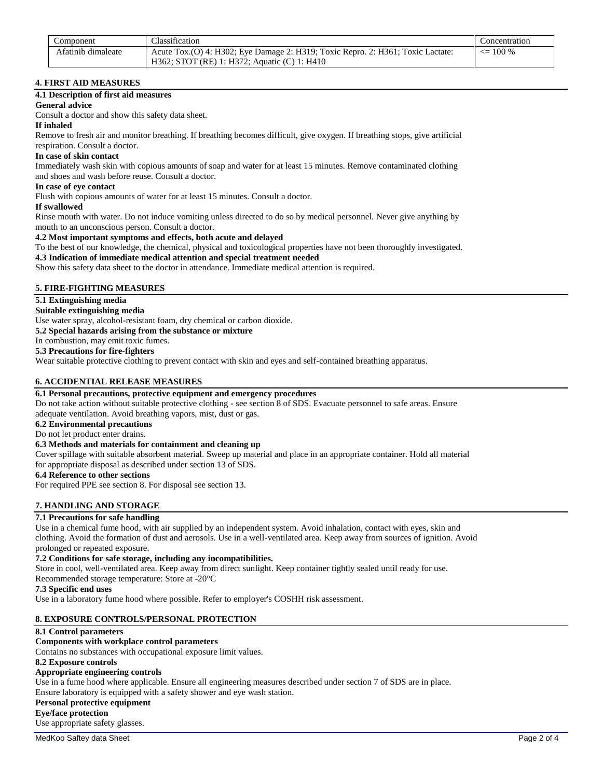| Component          | <b>Classification</b>                                                           | Concentration      |
|--------------------|---------------------------------------------------------------------------------|--------------------|
| Afatinib dimaleate | Acute Tox.(O) 4: H302; Eye Damage 2: H319; Toxic Repro. 2: H361; Toxic Lactate: | $\epsilon = 100\%$ |
|                    | H362; STOT (RE) 1: H372; Aquatic (C) 1: H410                                    |                    |

# **4. FIRST AID MEASURES**

# **4.1 Description of first aid measures**

# **General advice**

Consult a doctor and show this safety data sheet.

# **If inhaled**

Remove to fresh air and monitor breathing. If breathing becomes difficult, give oxygen. If breathing stops, give artificial respiration. Consult a doctor.

# **In case of skin contact**

Immediately wash skin with copious amounts of soap and water for at least 15 minutes. Remove contaminated clothing and shoes and wash before reuse. Consult a doctor.

## **In case of eye contact**

Flush with copious amounts of water for at least 15 minutes. Consult a doctor.

## **If swallowed**

Rinse mouth with water. Do not induce vomiting unless directed to do so by medical personnel. Never give anything by mouth to an unconscious person. Consult a doctor.

# **4.2 Most important symptoms and effects, both acute and delayed**

To the best of our knowledge, the chemical, physical and toxicological properties have not been thoroughly investigated.

**4.3 Indication of immediate medical attention and special treatment needed**

Show this safety data sheet to the doctor in attendance. Immediate medical attention is required.

# **5. FIRE-FIGHTING MEASURES**

# **5.1 Extinguishing media**

**Suitable extinguishing media**

Use water spray, alcohol-resistant foam, dry chemical or carbon dioxide.

**5.2 Special hazards arising from the substance or mixture**

In combustion, may emit toxic fumes.

# **5.3 Precautions for fire-fighters**

Wear suitable protective clothing to prevent contact with skin and eyes and self-contained breathing apparatus.

# **6. ACCIDENTIAL RELEASE MEASURES**

# **6.1 Personal precautions, protective equipment and emergency procedures**

Do not take action without suitable protective clothing - see section 8 of SDS. Evacuate personnel to safe areas. Ensure adequate ventilation. Avoid breathing vapors, mist, dust or gas.

## **6.2 Environmental precautions**

# Do not let product enter drains.

# **6.3 Methods and materials for containment and cleaning up**

Cover spillage with suitable absorbent material. Sweep up material and place in an appropriate container. Hold all material for appropriate disposal as described under section 13 of SDS.

# **6.4 Reference to other sections**

For required PPE see section 8. For disposal see section 13.

# **7. HANDLING AND STORAGE**

# **7.1 Precautions for safe handling**

Use in a chemical fume hood, with air supplied by an independent system. Avoid inhalation, contact with eyes, skin and clothing. Avoid the formation of dust and aerosols. Use in a well-ventilated area. Keep away from sources of ignition. Avoid prolonged or repeated exposure.

## **7.2 Conditions for safe storage, including any incompatibilities.**

Store in cool, well-ventilated area. Keep away from direct sunlight. Keep container tightly sealed until ready for use.

Recommended storage temperature: Store at -20°C

# **7.3 Specific end uses**

Use in a laboratory fume hood where possible. Refer to employer's COSHH risk assessment.

# **8. EXPOSURE CONTROLS/PERSONAL PROTECTION**

## **8.1 Control parameters**

# **Components with workplace control parameters**

Contains no substances with occupational exposure limit values.

# **8.2 Exposure controls**

# **Appropriate engineering controls**

Use in a fume hood where applicable. Ensure all engineering measures described under section 7 of SDS are in place.

Ensure laboratory is equipped with a safety shower and eye wash station.

# **Personal protective equipment**

**Eye/face protection**

Use appropriate safety glasses.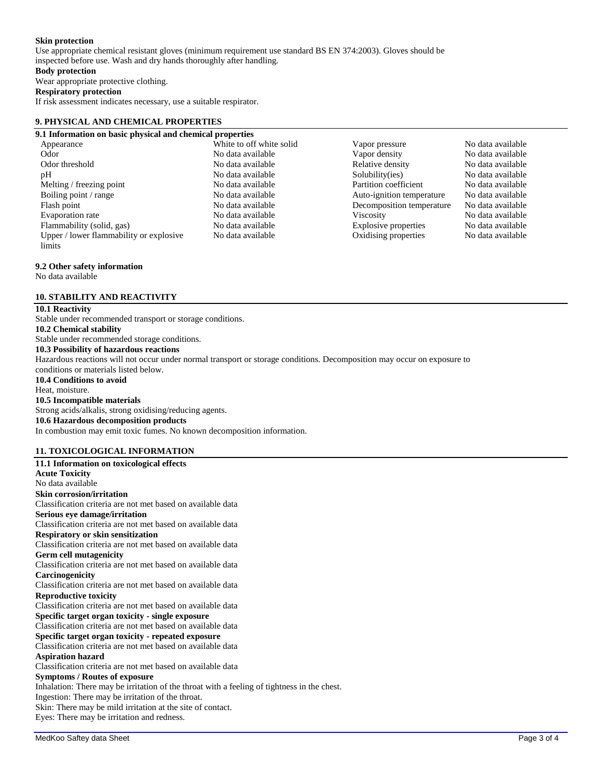# **Skin protection**

Use appropriate chemical resistant gloves (minimum requirement use standard BS EN 374:2003). Gloves should be inspected before use. Wash and dry hands thoroughly after handling.

# **Body protection**

Wear appropriate protective clothing.

# **Respiratory protection**

If risk assessment indicates necessary, use a suitable respirator.

## **9. PHYSICAL AND CHEMICAL PROPERTIES**

## **9.1 Information on basic physical and chemical properties**

Appearance a metal white to off white solid vapor pressure No data available Odor **No data available** No data available **No data available** Vapor density No data available Odor threshold No data available No data available<br>
No data available<br>
No data available<br>
No data available<br>
No data available<br>
No data available<br>
No data available<br>
No data available<br>
No data available<br>
No data available<br> Melting / freezing point No data available No data available Partition coefficient No data available Boiling point / range The No data available Auto-ignition temperature No data available Flash point No data available Decomposition temperature No data available Evaporation rate No data available Viscosity No data available Flammability (solid, gas) No data available Explosive properties No data available Upper / lower flammability or explosive limits

# No data available Oxidising properties No data available

No data available Solubility(ies) No data available No data available

## **9.2 Other safety information**

No data available

# **10. STABILITY AND REACTIVITY**

# **10.1 Reactivity**

Stable under recommended transport or storage conditions. **10.2 Chemical stability** Stable under recommended storage conditions. **10.3 Possibility of hazardous reactions** Hazardous reactions will not occur under normal transport or storage conditions. Decomposition may occur on exposure to conditions or materials listed below. **10.4 Conditions to avoid** Heat, moisture. **10.5 Incompatible materials** Strong acids/alkalis, strong oxidising/reducing agents. **10.6 Hazardous decomposition products** In combustion may emit toxic fumes. No known decomposition information.

# **11. TOXICOLOGICAL INFORMATION**

**11.1 Information on toxicological effects Acute Toxicity** No data available **Skin corrosion/irritation** Classification criteria are not met based on available data **Serious eye damage/irritation** Classification criteria are not met based on available data **Respiratory or skin sensitization** Classification criteria are not met based on available data **Germ cell mutagenicity** Classification criteria are not met based on available data **Carcinogenicity** Classification criteria are not met based on available data **Reproductive toxicity** Classification criteria are not met based on available data **Specific target organ toxicity - single exposure** Classification criteria are not met based on available data **Specific target organ toxicity - repeated exposure** Classification criteria are not met based on available data **Aspiration hazard** Classification criteria are not met based on available data **Symptoms / Routes of exposure** Inhalation: There may be irritation of the throat with a feeling of tightness in the chest. Ingestion: There may be irritation of the throat. Skin: There may be mild irritation at the site of contact. Eyes: There may be irritation and redness.